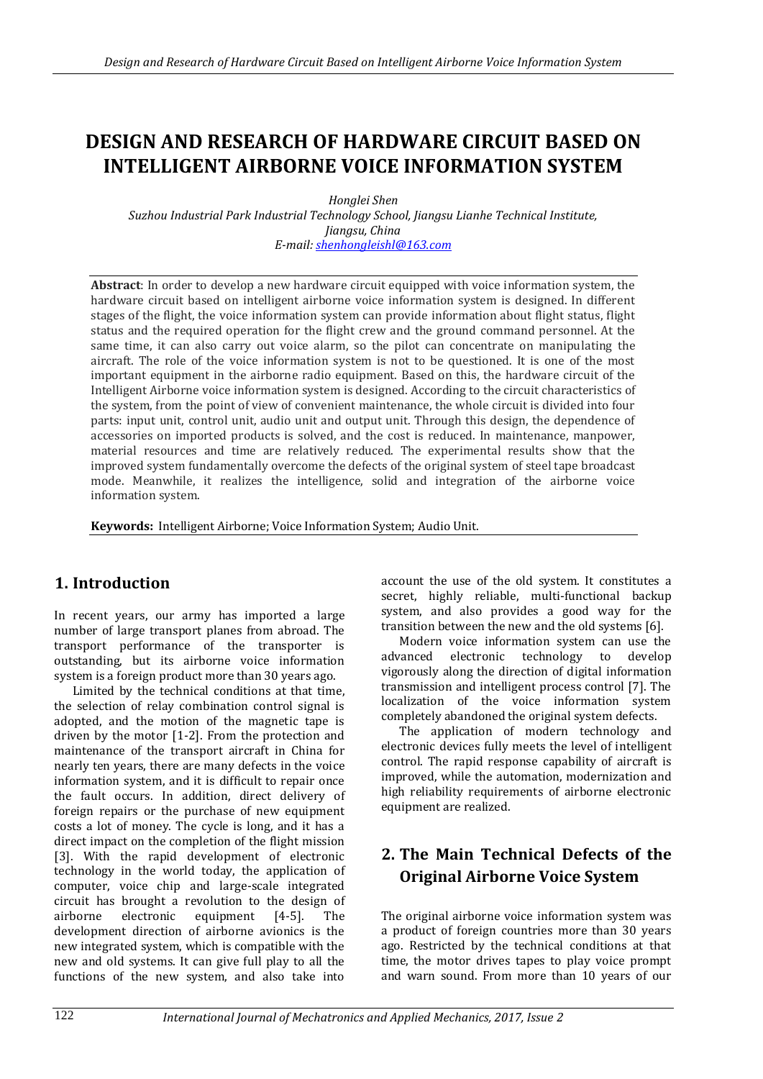# **DESIGN AND RESEARCH OF HARDWARE CIRCUIT BASED ON INTELLIGENT AIRBORNE VOICE INFORMATION SYSTEM**

*Honglei Shen Suzhou Industrial Park Industrial Technology School, Jiangsu Lianhe Technical Institute, Jiangsu, China E-mail: [shenhongleishl@163.com](mailto:shenhongleishl@163.com)*

**Abstract**: In order to develop a new hardware circuit equipped with voice information system, the hardware circuit based on intelligent airborne voice information system is designed. In different stages of the flight, the voice information system can provide information about flight status, flight status and the required operation for the flight crew and the ground command personnel. At the same time, it can also carry out voice alarm, so the pilot can concentrate on manipulating the aircraft. The role of the voice information system is not to be questioned. It is one of the most important equipment in the airborne radio equipment. Based on this, the hardware circuit of the Intelligent Airborne voice information system is designed. According to the circuit characteristics of the system, from the point of view of convenient maintenance, the whole circuit is divided into four parts: input unit, control unit, audio unit and output unit. Through this design, the dependence of accessories on imported products is solved, and the cost is reduced. In maintenance, manpower, material resources and time are relatively reduced. The experimental results show that the improved system fundamentally overcome the defects of the original system of steel tape broadcast mode. Meanwhile, it realizes the intelligence, solid and integration of the airborne voice information system.

**Keywords:** Intelligent Airborne; Voice Information System; Audio Unit.

## **1. Introduction**

In recent years, our army has imported a large number of large transport planes from abroad. The transport performance of the transporter is outstanding, but its airborne voice information system is a foreign product more than 30 years ago.

Limited by the technical conditions at that time, the selection of relay combination control signal is adopted, and the motion of the magnetic tape is driven by the motor [1-2]. From the protection and maintenance of the transport aircraft in China for nearly ten years, there are many defects in the voice information system, and it is difficult to repair once the fault occurs. In addition, direct delivery of foreign repairs or the purchase of new equipment costs a lot of money. The cycle is long, and it has a direct impact on the completion of the flight mission [3]. With the rapid development of electronic technology in the world today, the application of computer, voice chip and large-scale integrated circuit has brought a revolution to the design of airborne electronic equipment [4-5]. The development direction of airborne avionics is the new integrated system, which is compatible with the new and old systems. It can give full play to all the functions of the new system, and also take into

account the use of the old system. It constitutes a secret, highly reliable, multi-functional backup system, and also provides a good way for the transition between the new and the old systems [6].

Modern voice information system can use the advanced electronic technology to develop vigorously along the direction of digital information transmission and intelligent process control [7]. The localization of the voice information system completely abandoned the original system defects.

The application of modern technology and electronic devices fully meets the level of intelligent control. The rapid response capability of aircraft is improved, while the automation, modernization and high reliability requirements of airborne electronic equipment are realized.

# **2. The Main Technical Defects of the Original Airborne Voice System**

The original airborne voice information system was a product of foreign countries more than 30 years ago. Restricted by the technical conditions at that time, the motor drives tapes to play voice prompt and warn sound. From more than 10 years of our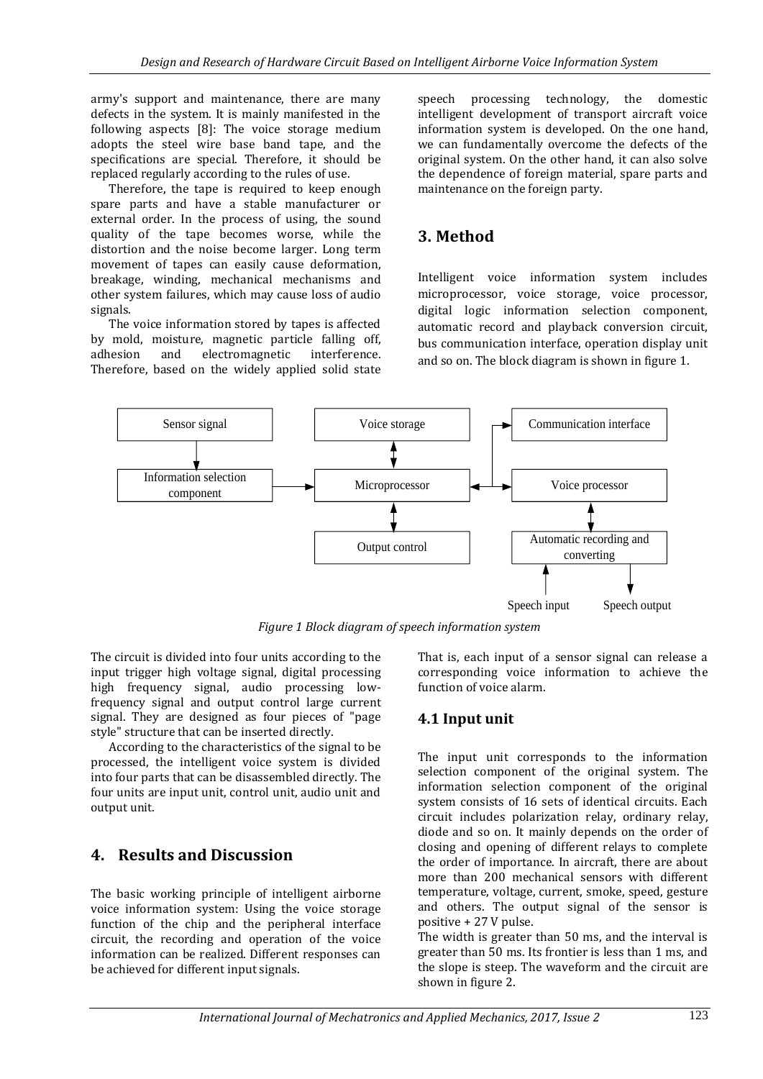army's support and maintenance, there are many defects in the system. It is mainly manifested in the following aspects [8]: The voice storage medium adopts the steel wire base band tape, and the specifications are special. Therefore, it should be replaced regularly according to the rules of use.

Therefore, the tape is required to keep enough spare parts and have a stable manufacturer or external order. In the process of using, the sound quality of the tape becomes worse, while the distortion and the noise become larger. Long term movement of tapes can easily cause deformation, breakage, winding, mechanical mechanisms and other system failures, which may cause loss of audio signals.

The voice information stored by tapes is affected by mold, moisture, magnetic particle falling off, adhesion and electromagnetic interference. Therefore, based on the widely applied solid state

speech processing technology, the domestic intelligent development of transport aircraft voice information system is developed. On the one hand, we can fundamentally overcome the defects of the original system. On the other hand, it can also solve the dependence of foreign material, spare parts and maintenance on the foreign party.

# **3. Method**

Intelligent voice information system includes microprocessor, voice storage, voice processor, digital logic information selection component, automatic record and playback conversion circuit, bus communication interface, operation display unit and so on. The block diagram is shown in figure 1.



*Figure 1 Block diagram of speech information system*

The circuit is divided into four units according to the input trigger high voltage signal, digital processing high frequency signal, audio processing lowfrequency signal and output control large current signal. They are designed as four pieces of "page style" structure that can be inserted directly.

According to the characteristics of the signal to be processed, the intelligent voice system is divided into four parts that can be disassembled directly. The four units are input unit, control unit, audio unit and output unit.

# **4. Results and Discussion**

The basic working principle of intelligent airborne voice information system: Using the voice storage function of the chip and the peripheral interface circuit, the recording and operation of the voice information can be realized. Different responses can be achieved for different input signals.

That is, each input of a sensor signal can release a corresponding voice information to achieve the function of voice alarm.

## **4.1 Input unit**

The input unit corresponds to the information selection component of the original system. The information selection component of the original system consists of 16 sets of identical circuits. Each circuit includes polarization relay, ordinary relay, diode and so on. It mainly depends on the order of closing and opening of different relays to complete the order of importance. In aircraft, there are about more than 200 mechanical sensors with different temperature, voltage, current, smoke, speed, gesture and others. The output signal of the sensor is positive + 27 V pulse.

The width is greater than 50 ms, and the interval is greater than 50 ms. Its frontier is less than 1 ms, and the slope is steep. The waveform and the circuit are shown in figure 2.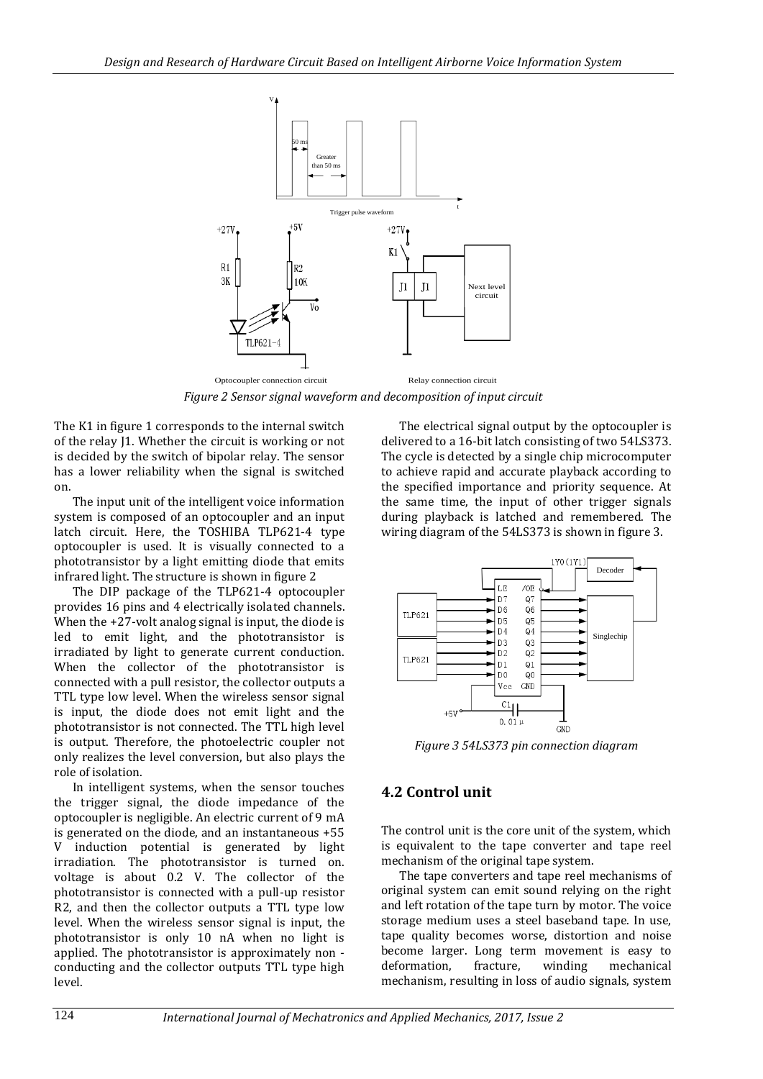

*Figure 2 Sensor signal waveform and decomposition of input circuit*

The K1 in figure 1 corresponds to the internal switch of the relay J1. Whether the circuit is working or not is decided by the switch of bipolar relay. The sensor has a lower reliability when the signal is switched on.

The input unit of the intelligent voice information system is composed of an optocoupler and an input latch circuit. Here, the TOSHIBA TLP621-4 type optocoupler is used. It is visually connected to a phototransistor by a light emitting diode that emits infrared light. The structure is shown in figure 2

The DIP package of the TLP621-4 optocoupler provides 16 pins and 4 electrically isolated channels. When the  $+27$ -volt analog signal is input, the diode is led to emit light, and the phototransistor is irradiated by light to generate current conduction. When the collector of the phototransistor is connected with a pull resistor, the collector outputs a TTL type low level. When the wireless sensor signal is input, the diode does not emit light and the phototransistor is not connected. The TTL high level is output. Therefore, the photoelectric coupler not only realizes the level conversion, but also plays the role of isolation.

In intelligent systems, when the sensor touches the trigger signal, the diode impedance of the optocoupler is negligible. An electric current of 9 mA is generated on the diode, and an instantaneous +55 V induction potential is generated by light irradiation. The phototransistor is turned on. voltage is about 0.2 V. The collector of the phototransistor is connected with a pull-up resistor R2, and then the collector outputs a TTL type low level. When the wireless sensor signal is input, the phototransistor is only 10 nA when no light is applied. The phototransistor is approximately non conducting and the collector outputs TTL type high level.

The electrical signal output by the optocoupler is delivered to a 16-bit latch consisting of two 54LS373. The cycle is detected by a single chip microcomputer to achieve rapid and accurate playback according to the specified importance and priority sequence. At the same time, the input of other trigger signals during playback is latched and remembered. The wiring diagram of the 54LS373 is shown in figure 3.



*Figure 3 54LS373 pin connection diagram*

### **4.2 Control unit**

The control unit is the core unit of the system, which is equivalent to the tape converter and tape reel mechanism of the original tape system.

The tape converters and tape reel mechanisms of original system can emit sound relying on the right and left rotation of the tape turn by motor. The voice storage medium uses a steel baseband tape. In use, tape quality becomes worse, distortion and noise become larger. Long term movement is easy to deformation, fracture, winding mechanical mechanism, resulting in loss of audio signals, system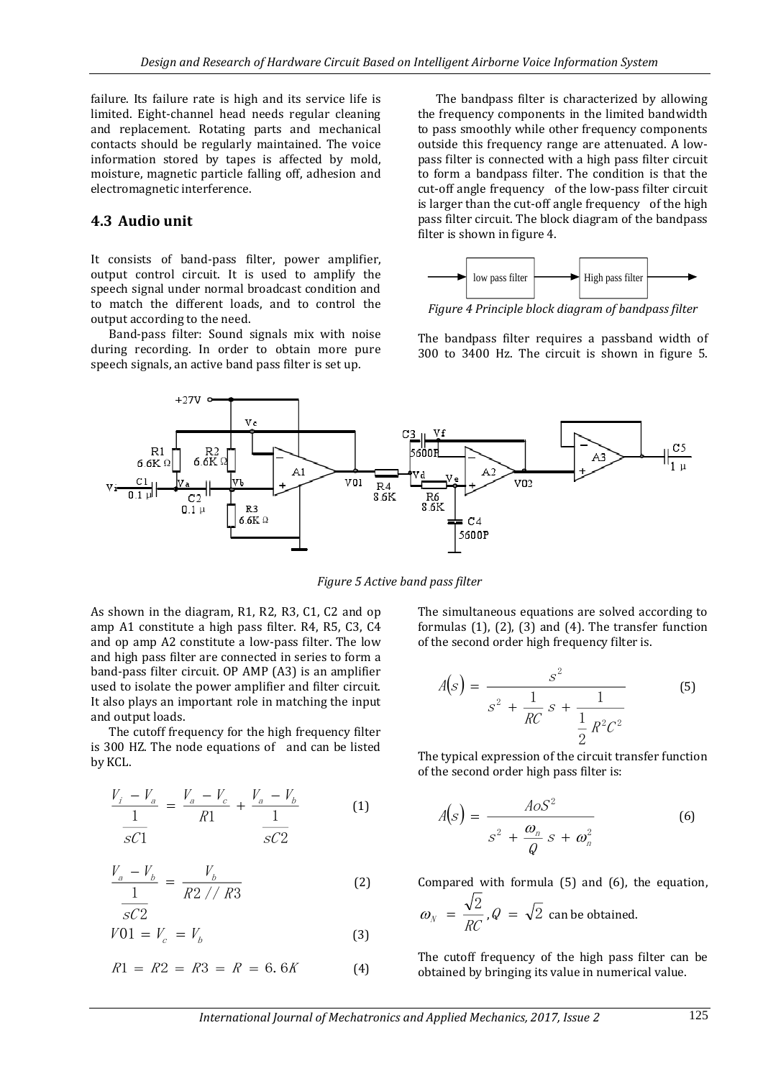failure. Its failure rate is high and its service life is limited. Eight-channel head needs regular cleaning and replacement. Rotating parts and mechanical contacts should be regularly maintained. The voice information stored by tapes is affected by mold, moisture, magnetic particle falling off, adhesion and electromagnetic interference.

#### **4.3 Audio unit**

It consists of band-pass filter, power amplifier, output control circuit. It is used to amplify the speech signal under normal broadcast condition and to match the different loads, and to control the output according to the need.

Band-pass filter: Sound signals mix with noise during recording. In order to obtain more pure speech signals, an active band pass filter is set up.

The bandpass filter is characterized by allowing the frequency components in the limited bandwidth to pass smoothly while other frequency components outside this frequency range are attenuated. A lowpass filter is connected with a high pass filter circuit to form a bandpass filter. The condition is that the cut-off angle frequency of the low-pass filter circuit is larger than the cut-off angle frequency of the high pass filter circuit. The block diagram of the bandpass filter is shown in figure 4.



*Figure 4 Principle block diagram of bandpass filter*

The bandpass filter requires a passband width of 300 to 3400 Hz. The circuit is shown in figure 5.



*Figure 5 Active band pass filter*

As shown in the diagram, R1, R2, R3, C1, C2 and op amp A1 constitute a high pass filter. R4, R5, C3, C4 and op amp A2 constitute a low-pass filter. The low and high pass filter are connected in series to form a band-pass filter circuit. OP AMP (A3) is an amplifier used to isolate the power amplifier and filter circuit. It also plays an important role in matching the input and output loads.

The cutoff frequency for the high frequency filter is 300 HZ. The node equations of and can be listed by KCL.

$$
\frac{V_i - V_a}{\frac{1}{sC1}} = \frac{V_a - V_c}{R1} + \frac{V_a - V_b}{\frac{1}{sC2}}
$$
 (1)

$$
\frac{V_a - V_b}{1} = \frac{V_b}{R2 // R3}
$$
 (2)

$$
sC2
$$
  

$$
V01 = V_c = V_b
$$
 (3)

$$
R1 = R2 = R3 = R = 6.6K
$$
 (4)

The simultaneous equations are solved according to formulas (1), (2), (3) and (4). The transfer function of the second order high frequency filter is.

$$
A(s) = \frac{s^2}{s^2 + \frac{1}{RC} s + \frac{1}{\frac{1}{2} R^2 C^2}}
$$
 (5)

The typical expression of the circuit transfer function of the second order high pass filter is:

$$
A(s) = \frac{A \circ S^2}{s^2 + \frac{\omega_n}{Q} s + \omega_n^2}
$$
 (6)

Compared with formula (5) and (6), the equation,

$$
\omega_N = \frac{\sqrt{2}}{RC}
$$
,  $Q = \sqrt{2}$  can be obtained.

The cutoff frequency of the high pass filter can be obtained by bringing its value in numerical value.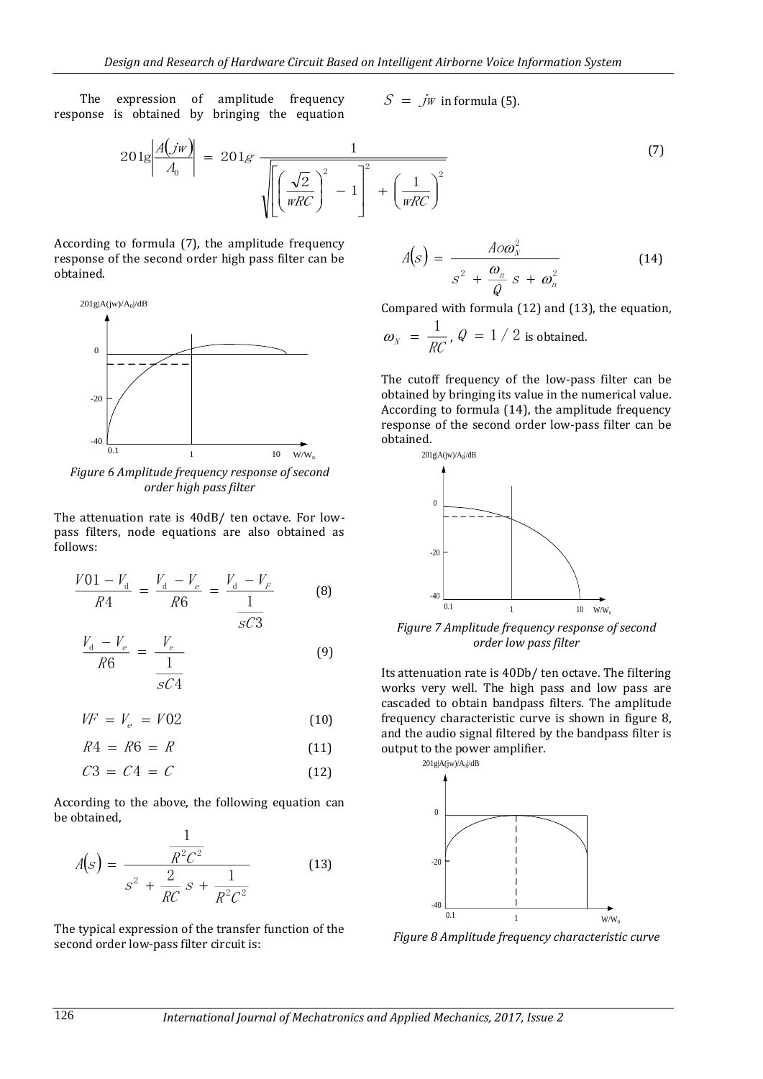The expression of amplitude frequency response is obtained by bringing the equation

 $S = jw$  in formula (5).

$$
201g\left|\frac{A(jw)}{A_0}\right| = 201g\frac{1}{\sqrt{\left[\left(\frac{\sqrt{2}}{wRC}\right)^2 - 1\right]^2 + \left(\frac{1}{wRC}\right)^2}}
$$
\n(7)

According to formula (7), the amplitude frequency response of the second order high pass filter can be obtained.



*Figure 6 Amplitude frequency response of second order high pass filter*

The attenuation rate is 40dB/ ten octave. For lowpass filters, node equations are also obtained as follows:

$$
\frac{V01 - V_{\rm d}}{R4} = \frac{V_{\rm d} - V_{\rm e}}{R6} = \frac{V_{\rm d} - V_{\rm F}}{1} \tag{8}
$$

$$
\frac{V_{\rm d} - V_{\rm e}}{R6} = \frac{V_{\rm e}}{\frac{1}{sC4}}
$$
(9)

sC3

$$
VF = V_e = V02 \tag{10}
$$

$$
R4 = R6 = R \tag{11}
$$

$$
C3 = C4 = C \tag{12}
$$

According to the above, the following equation can be obtained,

1

$$
A(s) = \frac{\frac{1}{R^2 C^2}}{s^2 + \frac{2}{RC} s + \frac{1}{R^2 C^2}}
$$
(13)

The typical expression of the transfer function of the second order low-pass filter circuit is:

$$
A(s) = \frac{A \circ \omega_N^2}{s^2 + \frac{\omega_n}{Q} s + \omega_n^2}
$$
 (14)

Compared with formula (12) and (13), the equation,

$$
\omega_N = \frac{1}{RC}
$$
,  $Q = 1 / 2$  is obtained.

The cutoff frequency of the low-pass filter can be obtained by bringing its value in the numerical value. According to formula (14), the amplitude frequency response of the second order low-pass filter can be obtained.



*Figure 7 Amplitude frequency response of second order low pass filter*

Its attenuation rate is 40Db/ ten octave. The filtering works very well. The high pass and low pass are cascaded to obtain bandpass filters. The amplitude frequency characteristic curve is shown in figure 8, and the audio signal filtered by the bandpass filter is output to the power amplifier.



*Figure 8 Amplitude frequency characteristic curve*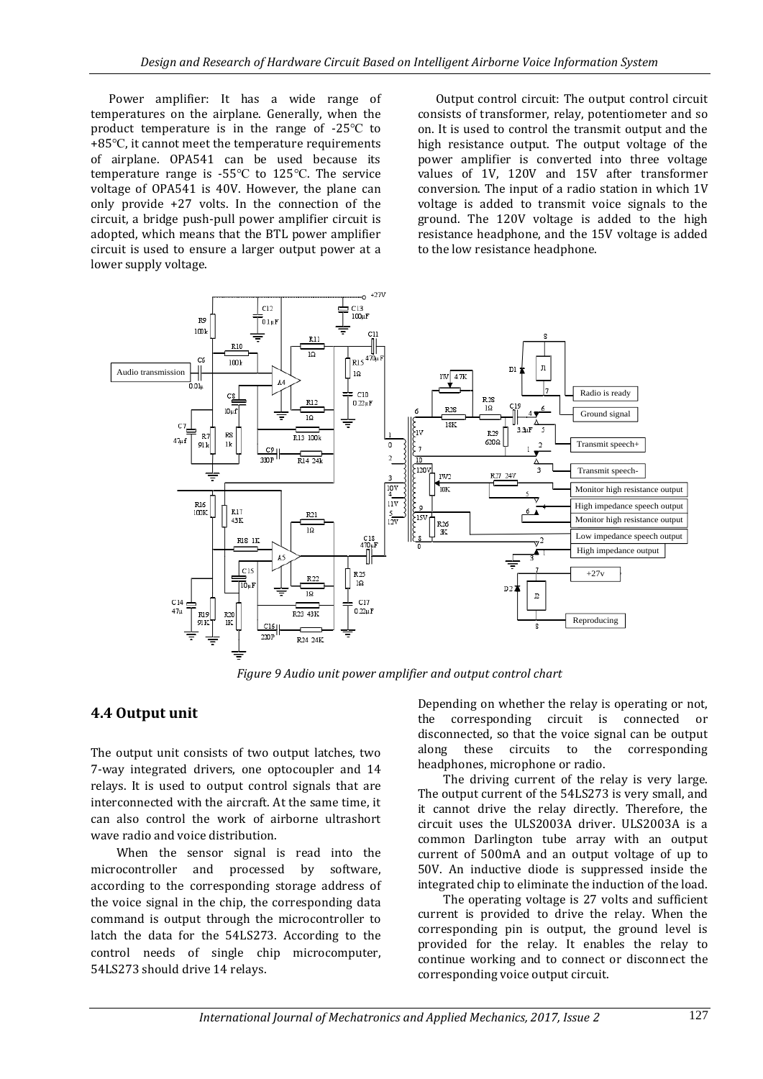Power amplifier: It has a wide range of temperatures on the airplane. Generally, when the product temperature is in the range of -25℃ to +85℃, it cannot meet the temperature requirements of airplane. OPA541 can be used because its temperature range is -55℃ to 125℃. The service voltage of OPA541 is 40V. However, the plane can only provide +27 volts. In the connection of the circuit, a bridge push-pull power amplifier circuit is adopted, which means that the BTL power amplifier circuit is used to ensure a larger output power at a lower supply voltage.

Output control circuit: The output control circuit consists of transformer, relay, potentiometer and so on. It is used to control the transmit output and the high resistance output. The output voltage of the power amplifier is converted into three voltage values of 1V, 120V and 15V after transformer conversion. The input of a radio station in which 1V voltage is added to transmit voice signals to the ground. The 120V voltage is added to the high resistance headphone, and the 15V voltage is added to the low resistance headphone.



*Figure 9 Audio unit power amplifier and output control chart*

### **4.4 Output unit**

The output unit consists of two output latches, two 7-way integrated drivers, one optocoupler and 14 relays. It is used to output control signals that are interconnected with the aircraft. At the same time, it can also control the work of airborne ultrashort wave radio and voice distribution.

When the sensor signal is read into the microcontroller and processed by software, according to the corresponding storage address of the voice signal in the chip, the corresponding data command is output through the microcontroller to latch the data for the 54LS273. According to the control needs of single chip microcomputer, 54LS273 should drive 14 relays.

Depending on whether the relay is operating or not, the corresponding circuit is connected or disconnected, so that the voice signal can be output along these circuits to the corresponding headphones, microphone or radio.

The driving current of the relay is very large. The output current of the 54LS273 is very small, and it cannot drive the relay directly. Therefore, the circuit uses the ULS2003A driver. ULS2003A is a common Darlington tube array with an output current of 500mA and an output voltage of up to 50V. An inductive diode is suppressed inside the integrated chip to eliminate the induction of the load.

The operating voltage is 27 volts and sufficient current is provided to drive the relay. When the corresponding pin is output, the ground level is provided for the relay. It enables the relay to continue working and to connect or disconnect the corresponding voice output circuit.